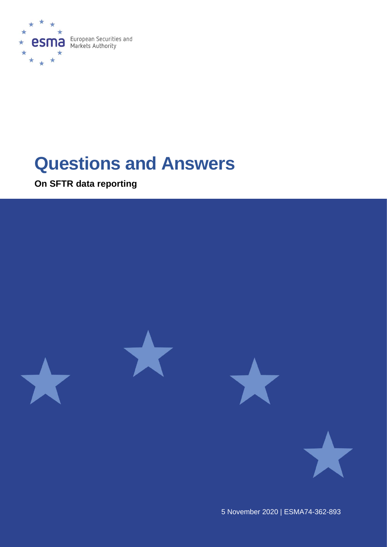

# **Questions and Answers**

**On SFTR data reporting**



5 November 2020 | [ESMA74-362-893](https://sherpa.esma.europa.eu/sites/MKT/_layouts/15/DocIdRedir.aspx?ID=ESMA70-1861941480-56)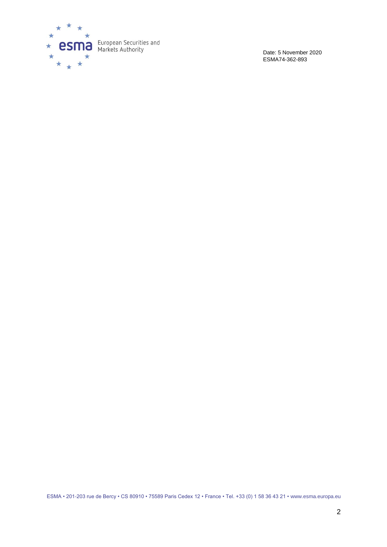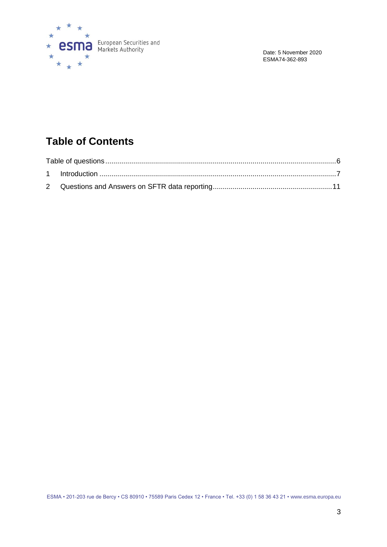

# **Table of Contents**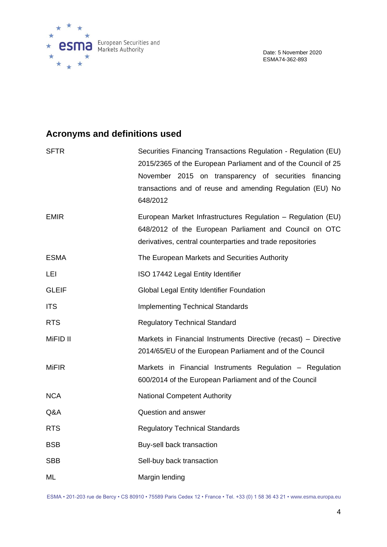

# **Acronyms and definitions used**

| <b>SFTR</b>  | Securities Financing Transactions Regulation - Regulation (EU)<br>2015/2365 of the European Parliament and of the Council of 25<br>November 2015 on transparency of securities financing<br>transactions and of reuse and amending Regulation (EU) No<br>648/2012 |  |  |
|--------------|-------------------------------------------------------------------------------------------------------------------------------------------------------------------------------------------------------------------------------------------------------------------|--|--|
| <b>EMIR</b>  | European Market Infrastructures Regulation - Regulation (EU)<br>648/2012 of the European Parliament and Council on OTC<br>derivatives, central counterparties and trade repositories                                                                              |  |  |
| <b>ESMA</b>  | The European Markets and Securities Authority                                                                                                                                                                                                                     |  |  |
| LEI          | ISO 17442 Legal Entity Identifier                                                                                                                                                                                                                                 |  |  |
| <b>GLEIF</b> | Global Legal Entity Identifier Foundation                                                                                                                                                                                                                         |  |  |
| <b>ITS</b>   | <b>Implementing Technical Standards</b>                                                                                                                                                                                                                           |  |  |
| <b>RTS</b>   | <b>Regulatory Technical Standard</b>                                                                                                                                                                                                                              |  |  |
| MiFID II     | Markets in Financial Instruments Directive (recast) - Directive<br>2014/65/EU of the European Parliament and of the Council                                                                                                                                       |  |  |
| <b>MiFIR</b> | Markets in Financial Instruments Regulation - Regulation<br>600/2014 of the European Parliament and of the Council                                                                                                                                                |  |  |
| <b>NCA</b>   | <b>National Competent Authority</b>                                                                                                                                                                                                                               |  |  |
| Q&A          | Question and answer                                                                                                                                                                                                                                               |  |  |
| <b>RTS</b>   | <b>Regulatory Technical Standards</b>                                                                                                                                                                                                                             |  |  |
| <b>BSB</b>   | Buy-sell back transaction                                                                                                                                                                                                                                         |  |  |
| <b>SBB</b>   | Sell-buy back transaction                                                                                                                                                                                                                                         |  |  |
| ML           | Margin lending                                                                                                                                                                                                                                                    |  |  |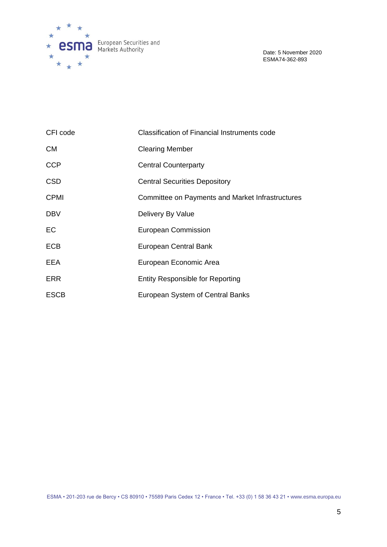

| CFI code    | <b>Classification of Financial Instruments code</b> |  |  |
|-------------|-----------------------------------------------------|--|--|
| <b>CM</b>   | <b>Clearing Member</b>                              |  |  |
| <b>CCP</b>  | <b>Central Counterparty</b>                         |  |  |
| <b>CSD</b>  | <b>Central Securities Depository</b>                |  |  |
| <b>CPMI</b> | Committee on Payments and Market Infrastructures    |  |  |
| <b>DBV</b>  | Delivery By Value                                   |  |  |
| EC          | <b>European Commission</b>                          |  |  |
| <b>ECB</b>  | European Central Bank                               |  |  |
| EEA         | European Economic Area                              |  |  |
| <b>ERR</b>  | <b>Entity Responsible for Reporting</b>             |  |  |
| <b>ESCB</b> | European System of Central Banks                    |  |  |

ESMA • 201-203 rue de Bercy • CS 80910 • 75589 Paris Cedex 12 • France • Tel. +33 (0) 1 58 36 43 21 • www.esma.europa.eu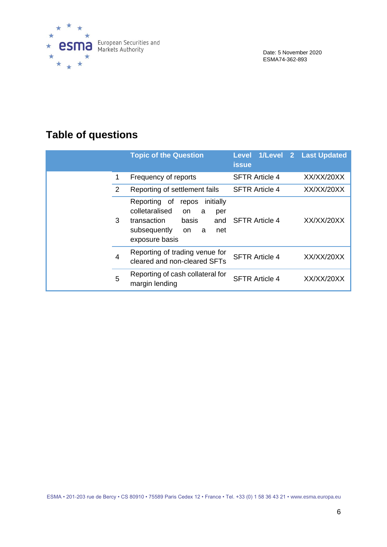

# <span id="page-5-0"></span>**Table of questions**

|                | <b>Topic of the Question</b>                                                                                                                               | Level 1/Level 2 Last Updated<br><b>issue</b> |            |
|----------------|------------------------------------------------------------------------------------------------------------------------------------------------------------|----------------------------------------------|------------|
| 1              | Frequency of reports                                                                                                                                       | <b>SFTR Article 4</b>                        | XX/XX/20XX |
| 2              | Reporting of settlement fails                                                                                                                              | <b>SFTR Article 4</b>                        | XX/XX/20XX |
| 3              | Reporting of<br>initially<br>repos<br>colletaralised<br>on<br>a<br>per<br>transaction<br>basis<br>and<br>subsequently<br>net<br>a<br>on.<br>exposure basis | <b>SFTR Article 4</b>                        | XX/XX/20XX |
| $\overline{4}$ | Reporting of trading venue for<br>cleared and non-cleared SFTs                                                                                             | <b>SFTR Article 4</b>                        | XX/XX/20XX |
| 5              | Reporting of cash collateral for<br>margin lending                                                                                                         | <b>SFTR Article 4</b>                        | XX/XX/20XX |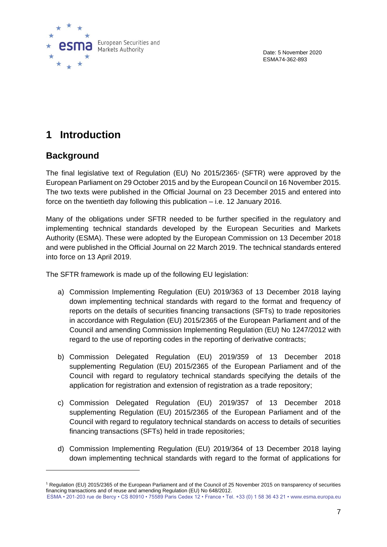

# <span id="page-6-0"></span>**1 Introduction**

# **Background**

The final legislative text of Regulation (EU) No 2015/2365<sup>1</sup> (SFTR) were approved by the European Parliament on 29 October 2015 and by the European Council on 16 November 2015. The two texts were published in the Official Journal on 23 December 2015 and entered into force on the twentieth day following this publication – i.e. 12 January 2016.

Many of the obligations under SFTR needed to be further specified in the regulatory and implementing technical standards developed by the European Securities and Markets Authority (ESMA). These were adopted by the European Commission on 13 December 2018 and were published in the Official Journal on 22 March 2019. The technical standards entered into force on 13 April 2019.

The SFTR framework is made up of the following EU legislation:

- a) Commission Implementing Regulation (EU) 2019/363 of 13 December 2018 laying down implementing technical standards with regard to the format and frequency of reports on the details of securities financing transactions (SFTs) to trade repositories in accordance with Regulation (EU) 2015/2365 of the European Parliament and of the Council and amending Commission Implementing Regulation (EU) No 1247/2012 with regard to the use of reporting codes in the reporting of derivative contracts;
- b) Commission Delegated Regulation (EU) 2019/359 of 13 December 2018 supplementing Regulation (EU) 2015/2365 of the European Parliament and of the Council with regard to regulatory technical standards specifying the details of the application for registration and extension of registration as a trade repository;
- c) Commission Delegated Regulation (EU) 2019/357 of 13 December 2018 supplementing Regulation (EU) 2015/2365 of the European Parliament and of the Council with regard to regulatory technical standards on access to details of securities financing transactions (SFTs) held in trade repositories;
- d) Commission Implementing Regulation (EU) 2019/364 of 13 December 2018 laying down implementing technical standards with regard to the format of applications for

ESMA • 201-203 rue de Bercy • CS 80910 • 75589 Paris Cedex 12 • France • Tel. +33 (0) 1 58 36 43 21 • www.esma.europa.eu <sup>1</sup> Regulation (EU) 2015/2365 of the European Parliament and of the Council of 25 November 2015 on transparency of securities financing transactions and of reuse and amending Regulation (EU) No 648/2012.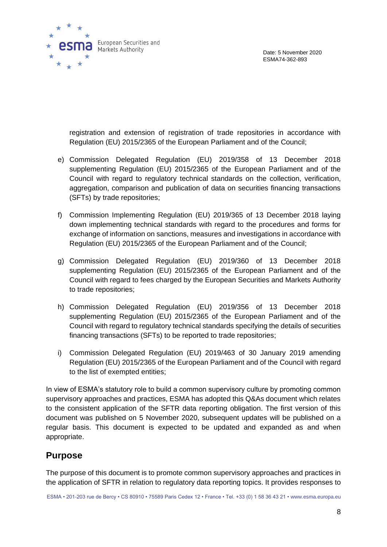

registration and extension of registration of trade repositories in accordance with Regulation (EU) 2015/2365 of the European Parliament and of the Council;

- e) Commission Delegated Regulation (EU) 2019/358 of 13 December 2018 supplementing Regulation (EU) 2015/2365 of the European Parliament and of the Council with regard to regulatory technical standards on the collection, verification, aggregation, comparison and publication of data on securities financing transactions (SFTs) by trade repositories;
- f) Commission Implementing Regulation (EU) 2019/365 of 13 December 2018 laying down implementing technical standards with regard to the procedures and forms for exchange of information on sanctions, measures and investigations in accordance with Regulation (EU) 2015/2365 of the European Parliament and of the Council;
- g) Commission Delegated Regulation (EU) 2019/360 of 13 December 2018 supplementing Regulation (EU) 2015/2365 of the European Parliament and of the Council with regard to fees charged by the European Securities and Markets Authority to trade repositories;
- h) Commission Delegated Regulation (EU) 2019/356 of 13 December 2018 supplementing Regulation (EU) 2015/2365 of the European Parliament and of the Council with regard to regulatory technical standards specifying the details of securities financing transactions (SFTs) to be reported to trade repositories;
- i) Commission Delegated Regulation (EU) 2019/463 of 30 January 2019 amending Regulation (EU) 2015/2365 of the European Parliament and of the Council with regard to the list of exempted entities;

In view of ESMA's statutory role to build a common supervisory culture by promoting common supervisory approaches and practices, ESMA has adopted this Q&As document which relates to the consistent application of the SFTR data reporting obligation. The first version of this document was published on 5 November 2020, subsequent updates will be published on a regular basis. This document is expected to be updated and expanded as and when appropriate.

# **Purpose**

The purpose of this document is to promote common supervisory approaches and practices in the application of SFTR in relation to regulatory data reporting topics. It provides responses to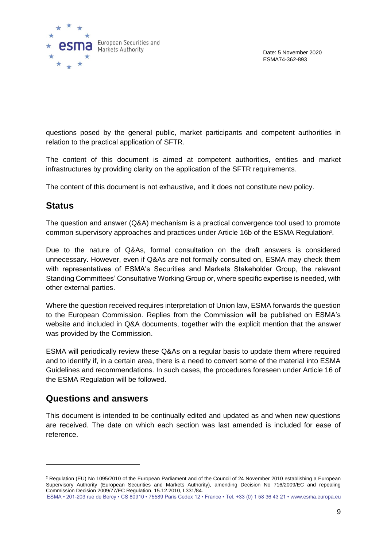

questions posed by the general public, market participants and competent authorities in relation to the practical application of SFTR.

The content of this document is aimed at competent authorities, entities and market infrastructures by providing clarity on the application of the SFTR requirements.

The content of this document is not exhaustive, and it does not constitute new policy.

# **Status**

The question and answer (Q&A) mechanism is a practical convergence tool used to promote common supervisory approaches and practices under Article 16b of the ESMA Regulation<sup>2</sup>.

Due to the nature of Q&As, formal consultation on the draft answers is considered unnecessary. However, even if Q&As are not formally consulted on, ESMA may check them with representatives of ESMA's Securities and Markets Stakeholder Group, the relevant Standing Committees' Consultative Working Group or, where specific expertise is needed, with other external parties.

Where the question received requires interpretation of Union law, ESMA forwards the question to the European Commission. Replies from the Commission will be published on ESMA's website and included in Q&A documents, together with the explicit mention that the answer was provided by the Commission.

ESMA will periodically review these Q&As on a regular basis to update them where required and to identify if, in a certain area, there is a need to convert some of the material into ESMA Guidelines and recommendations. In such cases, the procedures foreseen under Article 16 of the ESMA Regulation will be followed.

# **Questions and answers**

This document is intended to be continually edited and updated as and when new questions are received. The date on which each section was last amended is included for ease of reference.

<sup>&</sup>lt;sup>2</sup> Regulation (EU) No 1095/2010 of the European Parliament and of the Council of 24 November 2010 establishing a European Supervisory Authority (European Securities and Markets Authority), amending Decision No 716/2009/EC and repealing Commission Decision 2009/77/EC Regulation, 15.12.2010, L331/84.

ESMA • 201-203 rue de Bercy • CS 80910 • 75589 Paris Cedex 12 • France • Tel. +33 (0) 1 58 36 43 21 • www.esma.europa.eu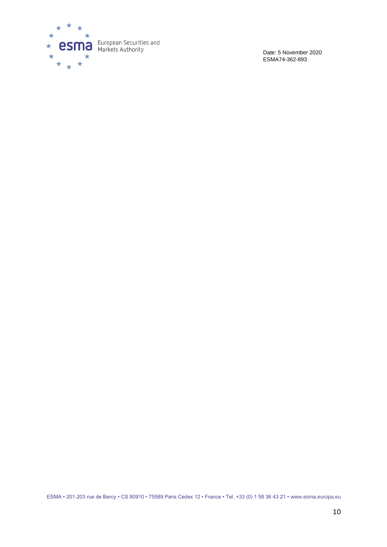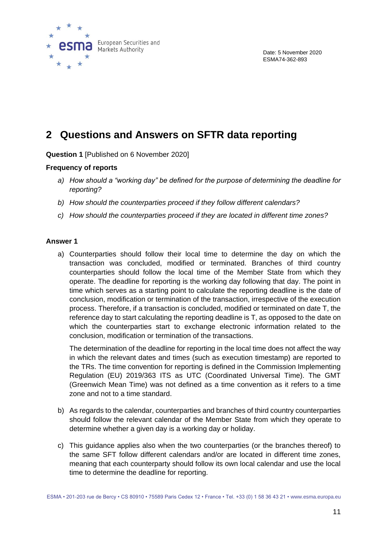

# <span id="page-10-0"></span>**2 Questions and Answers on SFTR data reporting**

**Question 1** [Published on 6 November 2020]

## **Frequency of reports**

- *a) How should a "working day" be defined for the purpose of determining the deadline for reporting?*
- *b) How should the counterparties proceed if they follow different calendars?*
- *c) How should the counterparties proceed if they are located in different time zones?*

# **Answer 1**

a) Counterparties should follow their local time to determine the day on which the transaction was concluded, modified or terminated. Branches of third country counterparties should follow the local time of the Member State from which they operate. The deadline for reporting is the working day following that day. The point in time which serves as a starting point to calculate the reporting deadline is the date of conclusion, modification or termination of the transaction, irrespective of the execution process. Therefore, if a transaction is concluded, modified or terminated on date T, the reference day to start calculating the reporting deadline is T, as opposed to the date on which the counterparties start to exchange electronic information related to the conclusion, modification or termination of the transactions.

The determination of the deadline for reporting in the local time does not affect the way in which the relevant dates and times (such as execution timestamp) are reported to the TRs. The time convention for reporting is defined in the Commission Implementing Regulation (EU) 2019/363 ITS as UTC (Coordinated Universal Time). The GMT (Greenwich Mean Time) was not defined as a time convention as it refers to a time zone and not to a time standard.

- b) As regards to the calendar, counterparties and branches of third country counterparties should follow the relevant calendar of the Member State from which they operate to determine whether a given day is a working day or holiday.
- c) This guidance applies also when the two counterparties (or the branches thereof) to the same SFT follow different calendars and/or are located in different time zones, meaning that each counterparty should follow its own local calendar and use the local time to determine the deadline for reporting.

ESMA • 201-203 rue de Bercy • CS 80910 • 75589 Paris Cedex 12 • France • Tel. +33 (0) 1 58 36 43 21 • www.esma.europa.eu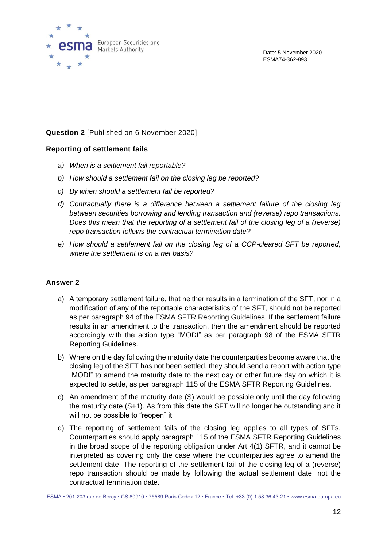

# **Question 2** [Published on 6 November 2020]

# **Reporting of settlement fails**

- *a) When is a settlement fail reportable?*
- *b) How should a settlement fail on the closing leg be reported?*
- *c) By when should a settlement fail be reported?*
- *d) Contractually there is a difference between a settlement failure of the closing leg between securities borrowing and lending transaction and (reverse) repo transactions. Does this mean that the reporting of a settlement fail of the closing leg of a (reverse) repo transaction follows the contractual termination date?*
- *e) How should a settlement fail on the closing leg of a CCP-cleared SFT be reported, where the settlement is on a net basis?*

## **Answer 2**

- a) A temporary settlement failure, that neither results in a termination of the SFT, nor in a modification of any of the reportable characteristics of the SFT, should not be reported as per paragraph 94 of the ESMA SFTR Reporting Guidelines. If the settlement failure results in an amendment to the transaction, then the amendment should be reported accordingly with the action type "MODI" as per paragraph 98 of the ESMA SFTR Reporting Guidelines.
- b) Where on the day following the maturity date the counterparties become aware that the closing leg of the SFT has not been settled, they should send a report with action type "MODI" to amend the maturity date to the next day or other future day on which it is expected to settle, as per paragraph 115 of the ESMA SFTR Reporting Guidelines.
- c) An amendment of the maturity date (S) would be possible only until the day following the maturity date (S+1). As from this date the SFT will no longer be outstanding and it will not be possible to "reopen" it.
- d) The reporting of settlement fails of the closing leg applies to all types of SFTs. Counterparties should apply paragraph 115 of the ESMA SFTR Reporting Guidelines in the broad scope of the reporting obligation under Art 4(1) SFTR, and it cannot be interpreted as covering only the case where the counterparties agree to amend the settlement date. The reporting of the settlement fail of the closing leg of a (reverse) repo transaction should be made by following the actual settlement date, not the contractual termination date.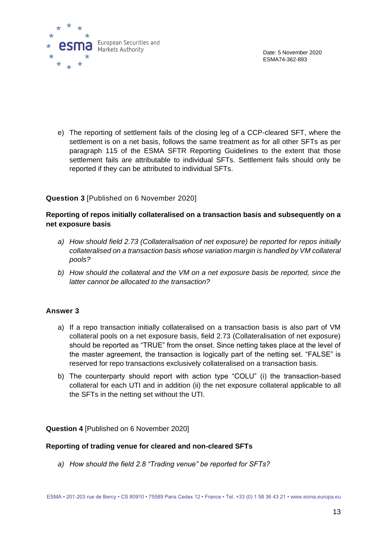

e) The reporting of settlement fails of the closing leg of a CCP-cleared SFT, where the settlement is on a net basis, follows the same treatment as for all other SFTs as per paragraph 115 of the ESMA SFTR Reporting Guidelines to the extent that those settlement fails are attributable to individual SFTs. Settlement fails should only be reported if they can be attributed to individual SFTs.

# **Question 3** [Published on 6 November 2020]

# **Reporting of repos initially collateralised on a transaction basis and subsequently on a net exposure basis**

- *a) How should field 2.73 (Collateralisation of net exposure) be reported for repos initially collateralised on a transaction basis whose variation margin is handled by VM collateral pools?*
- *b) How should the collateral and the VM on a net exposure basis be reported, since the latter cannot be allocated to the transaction?*

## **Answer 3**

- a) If a repo transaction initially collateralised on a transaction basis is also part of VM collateral pools on a net exposure basis, field 2.73 (Collateralisation of net exposure) should be reported as "TRUE" from the onset. Since netting takes place at the level of the master agreement, the transaction is logically part of the netting set. "FALSE" is reserved for repo transactions exclusively collateralised on a transaction basis.
- b) The counterparty should report with action type "COLU" (i) the transaction-based collateral for each UTI and in addition (ii) the net exposure collateral applicable to all the SFTs in the netting set without the UTI.

**Question 4** [Published on 6 November 2020]

#### **Reporting of trading venue for cleared and non-cleared SFTs**

*a) How should the field 2.8 "Trading venue" be reported for SFTs?*